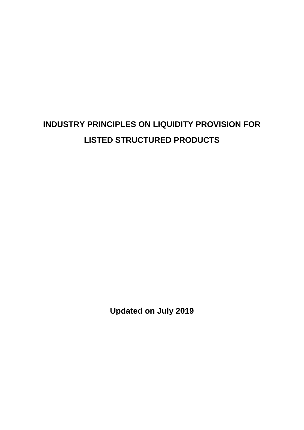# **INDUSTRY PRINCIPLES ON LIQUIDITY PROVISION FOR LISTED STRUCTURED PRODUCTS**

**Updated on July 2019**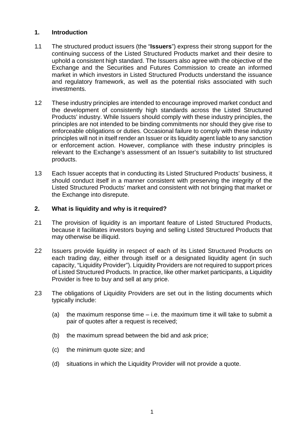# **1. Introduction**

- 1.1 The structured product issuers (the "**Issuers**") express their strong support for the continuing success of the Listed Structured Products market and their desire to uphold a consistent high standard. The Issuers also agree with the objective of the Exchange and the Securities and Futures Commission to create an informed market in which investors in Listed Structured Products understand the issuance and regulatory framework, as well as the potential risks associated with such investments.
- 1.2 These industry principles are intended to encourage improved market conduct and the development of consistently high standards across the Listed Structured Products' industry. While Issuers should comply with these industry principles, the principles are not intended to be binding commitments nor should they give rise to enforceable obligations or duties. Occasional failure to comply with these industry principles will not in itself render an Issuer or its liquidity agent liable to any sanction or enforcement action. However, compliance with these industry principles is relevant to the Exchange's assessment of an Issuer's suitability to list structured products.
- 1.3 Each Issuer accepts that in conducting its Listed Structured Products' business, it should conduct itself in a manner consistent with preserving the integrity of the Listed Structured Products' market and consistent with not bringing that market or the Exchange into disrepute.

# **2. What is liquidity and why is it required?**

- 2.1 The provision of liquidity is an important feature of Listed Structured Products, because it facilitates investors buying and selling Listed Structured Products that may otherwise be illiquid.
- 2.2 Issuers provide liquidity in respect of each of its Listed Structured Products on each trading day, either through itself or a designated liquidity agent (in such capacity, "Liquidity Provider"). Liquidity Providers are not required to support prices of Listed Structured Products. In practice, like other market participants, a Liquidity Provider is free to buy and sell at any price.
- 2.3 The obligations of Liquidity Providers are set out in the listing documents which typically include:
	- (a) the maximum response time  $-$  i.e. the maximum time it will take to submit a pair of quotes after a request is received;
	- (b) the maximum spread between the bid and ask price;
	- (c) the minimum quote size; and
	- (d) situations in which the Liquidity Provider will not provide a quote.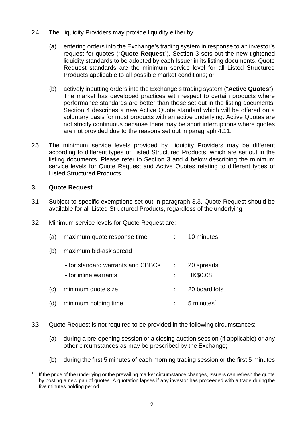- 2.4 The Liquidity Providers may provide liquidity either by:
	- (a) entering orders into the Exchange's trading system in response to an investor's request for quotes ("**Quote Request**"). Section 3 sets out the new tightened liquidity standards to be adopted by each Issuer in its listing documents. Quote Request standards are the minimum service level for all Listed Structured Products applicable to all possible market conditions; or
	- (b) actively inputting orders into the Exchange's trading system ("**Active Quotes**"). The market has developed practices with respect to certain products where performance standards are better than those set out in the listing documents. Section 4 describes a new Active Quote standard which will be offered on a voluntary basis for most products with an active underlying. Active Quotes are not strictly continuous because there may be short interruptions where quotes are not provided due to the reasons set out in paragraph 4.11.
- 2.5 The minimum service levels provided by Liquidity Providers may be different according to different types of Listed Structured Products, which are set out in the listing documents. Please refer to Section 3 and 4 below describing the minimum service levels for Quote Request and Active Quotes relating to different types of Listed Structured Products.

# **3. Quote Request**

<span id="page-2-0"></span><u>.</u>

- 3.1 Subject to specific exemptions set out in paragraph 3.3, Quote Request should be available for all Listed Structured Products, regardless of the underlying.
- 3.2 Minimum service levels for Quote Request are:
	- (a) maximum quote response time : 10 minutes
	- (b) maximum bid-ask spread

|     | - for standard warrants and CBBCs<br>- for inline warrants | 20 spreads<br>HK\$0.08 |
|-----|------------------------------------------------------------|------------------------|
|     | (c) minimum quote size                                     | 20 board lots          |
| (d) | minimum holding time                                       | 5 minutes $1$          |

- 3.3 Quote Request is not required to be provided in the following circumstances:
	- (a) during a pre-opening session or a closing auction session (if applicable) or any other circumstances as may be prescribed by the Exchange;
	- (b) during the first 5 minutes of each morning trading session or the first 5 minutes

If the price of the underlying or the prevailing market circumstance changes, Issuers can refresh the quote by posting a new pair of quotes. A quotation lapses if any investor has proceeded with a trade duringthe five minutes holding period.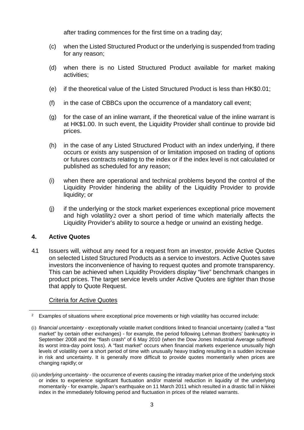after trading commences for the first time on a trading day;

- (c) when the Listed Structured Product or the underlying is suspended from trading for any reason;
- (d) when there is no Listed Structured Product available for market making activities;
- (e) if the theoretical value of the Listed Structured Product is less than HK\$0.01;
- (f) in the case of CBBCs upon the occurrence of a mandatory call event;
- (g) for the case of an inline warrant, if the theoretical value of the inline warrant is at HK\$1.00. In such event, the Liquidity Provider shall continue to provide bid prices.
- (h) in the case of any Listed Structured Product with an index underlying, if there occurs or exists any suspension of or limitation imposed on trading of options or futures contracts relating to the index or if the index level is not calculated or published as scheduled for any reason;
- (i) when there are operational and technical problems beyond the control of the Liquidity Provider hindering the ability of the Liquidity Provider to provide liquidity; or
- (j) if the underlying or the stock market experiences exceptional price movement and high volatility[2](#page-3-0) over a short period of time which materially affects the Liquidity Provider's ability to source a hedge or unwind an existing hedge.

### **4. Active Quotes**

4.1 Issuers will, without any need for a request from an investor, provide Active Quotes on selected Listed Structured Products as a service to investors. Active Quotes save investors the inconvenience of having to request quotes and promote transparency. This can be achieved when Liquidity Providers display "live" benchmark changes in product prices. The target service levels under Active Quotes are tighter than those that apply to Quote Request.

### Criteria for Active Quotes

<span id="page-3-0"></span><sup>-</sup><sup>2</sup> Examples of situations where exceptional price movements or high volatility has occurred include:

<sup>(</sup>i) *financial uncertainty -* exceptionally volatile market conditions linked to financial uncertainty (called a "fast market" by certain other exchanges) - for example, the period following Lehman Brothers' bankruptcy in September 2008 and the "flash crash" of 6 May 2010 (when the Dow Jones Industrial Average suffered its worst intra-day point loss). A "fast market" occurs when financial markets experience unusually high levels of volatility over a short period of time with unusually heavy trading resulting in a sudden increase in risk and uncertainty. It is generally more difficult to provide quotes momentarily when prices are changing rapidly; or

<sup>(</sup>ii) *underlying uncertainty* - the occurrence of events causing the intraday market price of the underlying stock or index to experience significant fluctuation and/or material reduction in liquidity of the underlying momentarily - for example, Japan's earthquake on 11 March 2011 which resulted in a drastic fall in Nikkei index in the immediately following period and fluctuation in prices of the related warrants.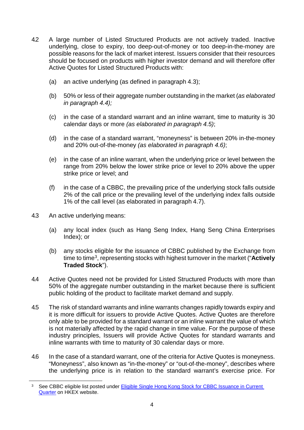- 4.2 A large number of Listed Structured Products are not actively traded. Inactive underlying, close to expiry, too deep-out-of-money or too deep-in-the-money are possible reasons for the lack of market interest. Issuers consider that their resources should be focused on products with higher investor demand and will therefore offer Active Quotes for Listed Structured Products with:
	- (a) an active underlying (as defined in paragraph 4.3);
	- (b) 50% or less of their aggregate number outstanding in the market (*as elaborated in paragraph 4.4);*
	- (c) in the case of a standard warrant and an inline warrant, time to maturity is 30 calendar days or more *(as elaborated in paragraph 4.5)*;
	- (d) in the case of a standard warrant, "moneyness" is between 20% in-the-money and 20% out-of-the-money *(as elaborated in paragraph 4.6)*;
	- (e) in the case of an inline warrant, when the underlying price or level between the range from 20% below the lower strike price or level to 20% above the upper strike price or level; and
	- (f) in the case of a CBBC, the prevailing price of the underlying stock falls outside 2% of the call price or the prevailing level of the underlying index falls outside 1% of the call level (as elaborated in paragraph 4.7).
- 4.3 An active underlying means:

<span id="page-4-0"></span>-

- (a) any local index (such as Hang Seng Index, Hang Seng China Enterprises Index); or
- (b) any stocks eligible for the issuance of CBBC published by the Exchange from time to time[3](#page-4-0), representing stocks with highest turnover in the market ("**Actively Traded Stock**").
- 4.4 Active Quotes need not be provided for Listed Structured Products with more than 50% of the aggregate number outstanding in the market because there is sufficient public holding of the product to facilitate market demand and supply.
- 4.5 The risk of standard warrants and inline warrants changes rapidly towards expiry and it is more difficult for issuers to provide Active Quotes. Active Quotes are therefore only able to be provided for a standard warrant or an inline warrant the value of which is not materially affected by the rapid change in time value. For the purpose of these industry principles, Issuers will provide Active Quotes for standard warrants and inline warrants with time to maturity of 30 calendar days or more.
- 4.6 In the case of a standard warrant, one of the criteria for Active Quotes is moneyness. "Moneyness", also known as "in-the-money" or "out-of-the-money", describes where the underlying price is in relation to the standard warrant's exercise price. For

<sup>&</sup>lt;sup>3</sup> See CBBC eligible list posted under **Eligible Single Hong Kong Stock for CBBC Issuance in Current** [Quarter](https://www.hkex.com.hk/Products/Securities/Callable-Bull-Bear-Contracts/CBBC-Eligible-Underlying-Assets/Eligible-Single-Hong-Kong-Stocks-for-CBBC-Issuance-in-Current-Quarter?sc_lang=en) on HKEX website.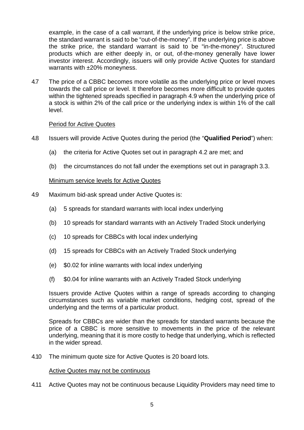example, in the case of a call warrant, if the underlying price is below strike price, the standard warrant is said to be "out-of-the-money". If the underlying price is above the strike price, the standard warrant is said to be "in-the-money". Structured products which are either deeply in, or out, of-the-money generally have lower investor interest. Accordingly, issuers will only provide Active Quotes for standard warrants with ±20% moneyness.

4.7 The price of a CBBC becomes more volatile as the underlying price or level moves towards the call price or level. It therefore becomes more difficult to provide quotes within the tightened spreads specified in paragraph 4.9 when the underlying price of a stock is within 2% of the call price or the underlying index is within 1% of the call level.

### Period for Active Quotes

- 4.8 Issuers will provide Active Quotes during the period (the "**Qualified Period**") when:
	- (a) the criteria for Active Quotes set out in paragraph 4.2 are met; and
	- (b) the circumstances do not fall under the exemptions set out in paragraph 3.3.

### Minimum service levels for Active Quotes

- 4.9 Maximum bid-ask spread under Active Quotes is:
	- (a) 5 spreads for standard warrants with local index underlying
	- (b) 10 spreads for standard warrants with an Actively Traded Stock underlying
	- (c) 10 spreads for CBBCs with local index underlying
	- (d) 15 spreads for CBBCs with an Actively Traded Stock underlying
	- (e) \$0.02 for inline warrants with local index underlying
	- (f) \$0.04 for inline warrants with an Actively Traded Stock underlying

Issuers provide Active Quotes within a range of spreads according to changing circumstances such as variable market conditions, hedging cost, spread of the underlying and the terms of a particular product.

Spreads for CBBCs are wider than the spreads for standard warrants because the price of a CBBC is more sensitive to movements in the price of the relevant underlying, meaning that it is more costly to hedge that underlying, which is reflected in the wider spread.

4.10 The minimum quote size for Active Quotes is 20 board lots.

#### Active Quotes may not be continuous

4.11 Active Quotes may not be continuous because Liquidity Providers may need time to